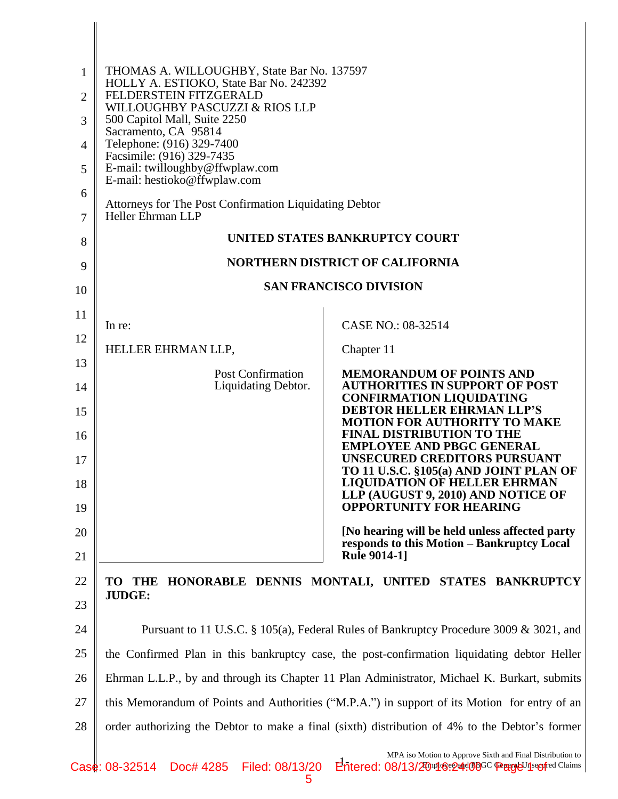| 1              | THOMAS A. WILLOUGHBY, State Bar No. 137597<br>HOLLY A. ESTIOKO, State Bar No. 242392           |                                                                                                                                                       |  |
|----------------|------------------------------------------------------------------------------------------------|-------------------------------------------------------------------------------------------------------------------------------------------------------|--|
| $\overline{2}$ | FELDERSTEIN FITZGERALD<br>WILLOUGHBY PASCUZZI & RIOS LLP                                       |                                                                                                                                                       |  |
| 3              | 500 Capitol Mall, Suite 2250<br>Sacramento, CA 95814                                           |                                                                                                                                                       |  |
| 4              | Telephone: (916) 329-7400<br>Facsimile: (916) 329-7435                                         |                                                                                                                                                       |  |
| 5              | E-mail: twilloughby@ffwplaw.com<br>E-mail: hestioko@ffwplaw.com                                |                                                                                                                                                       |  |
| 6              | Attorneys for The Post Confirmation Liquidating Debtor                                         |                                                                                                                                                       |  |
| 7              | Heller Ehrman LLP                                                                              |                                                                                                                                                       |  |
| 8              |                                                                                                | UNITED STATES BANKRUPTCY COURT                                                                                                                        |  |
| 9              | <b>NORTHERN DISTRICT OF CALIFORNIA</b>                                                         |                                                                                                                                                       |  |
| 10             |                                                                                                | <b>SAN FRANCISCO DIVISION</b>                                                                                                                         |  |
| 11             |                                                                                                |                                                                                                                                                       |  |
| 12             | In re:                                                                                         | CASE NO.: 08-32514                                                                                                                                    |  |
| 13             | HELLER EHRMAN LLP,                                                                             | Chapter 11                                                                                                                                            |  |
| 14             | <b>Post Confirmation</b><br>Liquidating Debtor.                                                | <b>MEMORANDUM OF POINTS AND</b><br><b>AUTHORITIES IN SUPPORT OF POST</b><br><b>CONFIRMATION LIQUIDATING</b>                                           |  |
| 15             |                                                                                                | <b>DEBTOR HELLER EHRMAN LLP'S</b><br><b>MOTION FOR AUTHORITY TO MAKE</b>                                                                              |  |
| 16             |                                                                                                | <b>FINAL DISTRIBUTION TO THE</b><br><b>EMPLOYEE AND PBGC GENERAL</b>                                                                                  |  |
| 17             |                                                                                                | <b>UNSECURED CREDITORS PURSUANT</b><br>TO 11 U.S.C. §105(a) AND JOINT PLAN OF                                                                         |  |
| 18             |                                                                                                | <b>LIQUIDATION OF HELLER EHRMAN</b><br>LLP (AUGUST 9, 2010) AND NOTICE OF                                                                             |  |
| 19             |                                                                                                | <b>OPPORTUNITY FOR HEARING</b>                                                                                                                        |  |
| 20             |                                                                                                | [No hearing will be held unless affected party<br>responds to this Motion - Bankruptcy Local                                                          |  |
| 21             |                                                                                                | <b>Rule 9014-1]</b>                                                                                                                                   |  |
| 22             | <b>TO</b><br>THE<br><b>JUDGE:</b>                                                              | HONORABLE DENNIS MONTALI, UNITED STATES BANKRUPTCY                                                                                                    |  |
| 23             |                                                                                                |                                                                                                                                                       |  |
| 24             | Pursuant to 11 U.S.C. § 105(a), Federal Rules of Bankruptcy Procedure 3009 & 3021, and         |                                                                                                                                                       |  |
| 25             | the Confirmed Plan in this bankruptcy case, the post-confirmation liquidating debtor Heller    |                                                                                                                                                       |  |
| 26             | Ehrman L.L.P., by and through its Chapter 11 Plan Administrator, Michael K. Burkart, submits   |                                                                                                                                                       |  |
| 27             | this Memorandum of Points and Authorities ("M.P.A.") in support of its Motion for entry of an  |                                                                                                                                                       |  |
| 28             | order authorizing the Debtor to make a final (sixth) distribution of 4% to the Debtor's former |                                                                                                                                                       |  |
|                |                                                                                                | MPA iso Motion to Approve Sixth and Final Distribution to<br>08-22514 Doctt 4285 Eiled: 08/12/20 Entered: 08/12/20 mold recording C Concretive Claims |  |

 $\mathsf{l}$  $\mathsf{l}$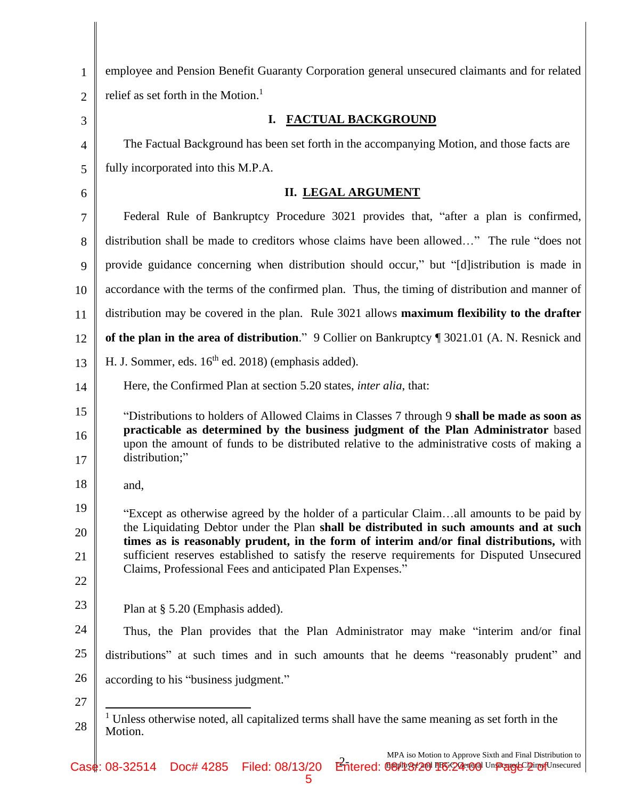| $\mathbf{1}$   | employee and Pension Benefit Guaranty Corporation general unsecured claimants and for related                                                                                                       |  |
|----------------|-----------------------------------------------------------------------------------------------------------------------------------------------------------------------------------------------------|--|
| $\overline{2}$ | relief as set forth in the Motion. <sup>1</sup>                                                                                                                                                     |  |
| 3              | <b>FACTUAL BACKGROUND</b><br>I.                                                                                                                                                                     |  |
| $\overline{4}$ | The Factual Background has been set forth in the accompanying Motion, and those facts are                                                                                                           |  |
| 5              | fully incorporated into this M.P.A.                                                                                                                                                                 |  |
| 6              | <b>II. LEGAL ARGUMENT</b>                                                                                                                                                                           |  |
| $\overline{7}$ | Federal Rule of Bankruptcy Procedure 3021 provides that, "after a plan is confirmed,                                                                                                                |  |
| 8              | distribution shall be made to creditors whose claims have been allowed" The rule "does not                                                                                                          |  |
| 9              | provide guidance concerning when distribution should occur," but "[d] istribution is made in                                                                                                        |  |
| 10             | accordance with the terms of the confirmed plan. Thus, the timing of distribution and manner of                                                                                                     |  |
| 11             | distribution may be covered in the plan. Rule 3021 allows maximum flexibility to the drafter                                                                                                        |  |
| 12             | of the plan in the area of distribution." 9 Collier on Bankruptcy ¶ 3021.01 (A. N. Resnick and                                                                                                      |  |
| 13             | H. J. Sommer, eds. 16 <sup>th</sup> ed. 2018) (emphasis added).                                                                                                                                     |  |
| 14             | Here, the Confirmed Plan at section 5.20 states, <i>inter alia</i> , that:                                                                                                                          |  |
| 15             | "Distributions to holders of Allowed Claims in Classes 7 through 9 shall be made as soon as                                                                                                         |  |
| 16<br>17       | practicable as determined by the business judgment of the Plan Administrator based<br>upon the amount of funds to be distributed relative to the administrative costs of making a<br>distribution;" |  |
| 18             | and,                                                                                                                                                                                                |  |
| 19             | "Except as otherwise agreed by the holder of a particular Claimall amounts to be paid by                                                                                                            |  |
| 20             | the Liquidating Debtor under the Plan shall be distributed in such amounts and at such<br>times as is reasonably prudent, in the form of interim and/or final distributions, with                   |  |
| 21             | sufficient reserves established to satisfy the reserve requirements for Disputed Unsecured<br>Claims, Professional Fees and anticipated Plan Expenses."                                             |  |
| 22             |                                                                                                                                                                                                     |  |
| 23             | Plan at § 5.20 (Emphasis added).                                                                                                                                                                    |  |
| 24             | Thus, the Plan provides that the Plan Administrator may make "interim and/or final                                                                                                                  |  |
| 25             | distributions" at such times and in such amounts that he deems "reasonably prudent" and                                                                                                             |  |
| 26             | according to his "business judgment."                                                                                                                                                               |  |
| 27             |                                                                                                                                                                                                     |  |
| 28             | <sup>1</sup> Unless otherwise noted, all capitalized terms shall have the same meaning as set forth in the<br>Motion.                                                                               |  |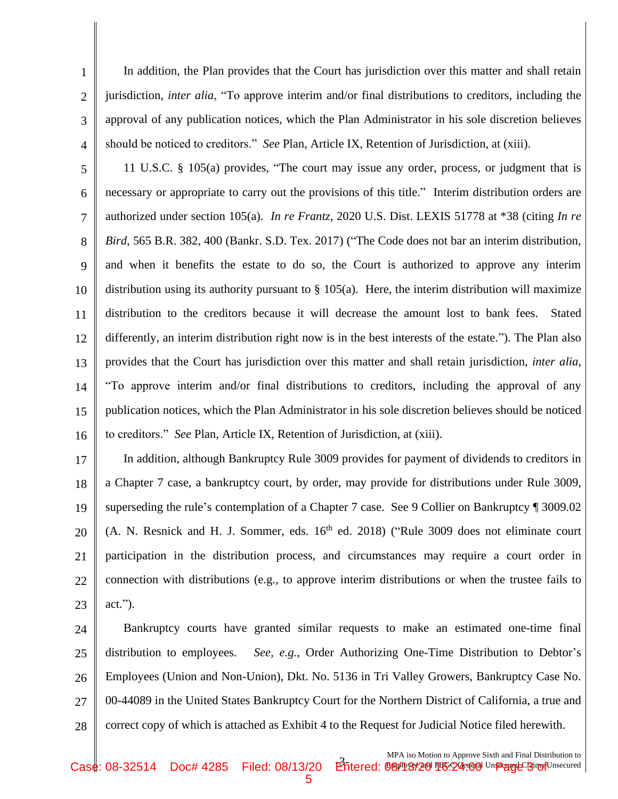In addition, the Plan provides that the Court has jurisdiction over this matter and shall retain jurisdiction, *inter alia*, "To approve interim and/or final distributions to creditors, including the approval of any publication notices, which the Plan Administrator in his sole discretion believes should be noticed to creditors." *See* Plan, Article IX, Retention of Jurisdiction, at (xiii).

1

2

3

4

5 6 7 8 9 10 11 12 13 14 15 16 11 U.S.C. § 105(a) provides, "The court may issue any order, process, or judgment that is necessary or appropriate to carry out the provisions of this title." Interim distribution orders are authorized under section 105(a). *In re Frantz*, 2020 U.S. Dist. LEXIS 51778 at \*38 (citing *In re Bird*, 565 B.R. 382, 400 (Bankr. S.D. Tex. 2017) ("The Code does not bar an interim distribution, and when it benefits the estate to do so, the Court is authorized to approve any interim distribution using its authority pursuant to  $\S$  105(a). Here, the interim distribution will maximize distribution to the creditors because it will decrease the amount lost to bank fees. Stated differently, an interim distribution right now is in the best interests of the estate."). The Plan also provides that the Court has jurisdiction over this matter and shall retain jurisdiction, *inter alia*, "To approve interim and/or final distributions to creditors, including the approval of any publication notices, which the Plan Administrator in his sole discretion believes should be noticed to creditors." *See* Plan, Article IX, Retention of Jurisdiction, at (xiii).

17 18 19 20 21 22 23 In addition, although Bankruptcy Rule 3009 provides for payment of dividends to creditors in a Chapter 7 case, a bankruptcy court, by order, may provide for distributions under Rule 3009, superseding the rule's contemplation of a Chapter 7 case. See 9 Collier on Bankruptcy ¶ 3009.02  $(A. N. Resnick and H. J. Sommer, eds. 16<sup>th</sup> ed. 2018)$  ("Rule 3009 does not eliminate court participation in the distribution process, and circumstances may require a court order in connection with distributions (e.g., to approve interim distributions or when the trustee fails to act.").

24 25 26 27 28 Bankruptcy courts have granted similar requests to make an estimated one-time final distribution to employees. *See, e.g.,* Order Authorizing One-Time Distribution to Debtor's Employees (Union and Non-Union), Dkt. No. 5136 in Tri Valley Growers, Bankruptcy Case No. 00-44089 in the United States Bankruptcy Court for the Northern District of California, a true and correct copy of which is attached as Exhibit 4 to the Request for Judicial Notice filed herewith.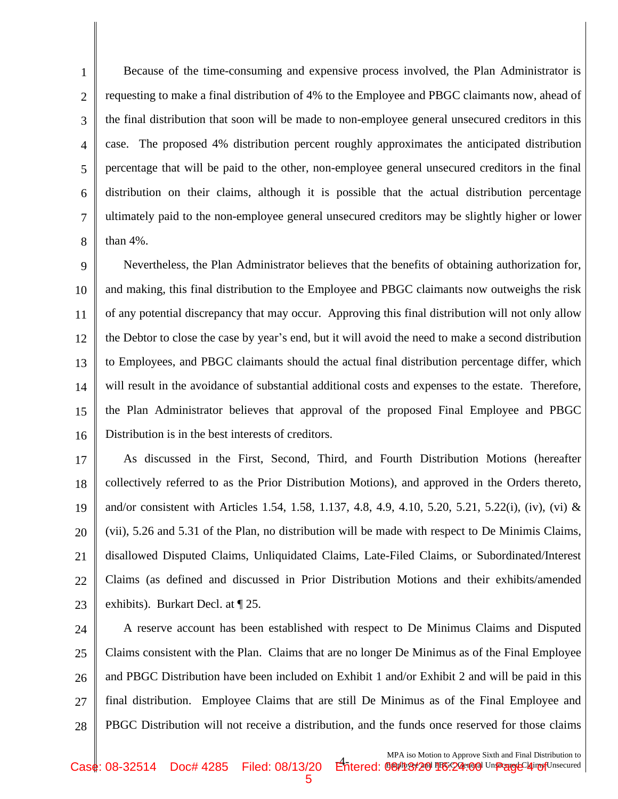1 2 3 4 5 6 7 8 Because of the time-consuming and expensive process involved, the Plan Administrator is requesting to make a final distribution of 4% to the Employee and PBGC claimants now, ahead of the final distribution that soon will be made to non-employee general unsecured creditors in this case. The proposed 4% distribution percent roughly approximates the anticipated distribution percentage that will be paid to the other, non-employee general unsecured creditors in the final distribution on their claims, although it is possible that the actual distribution percentage ultimately paid to the non-employee general unsecured creditors may be slightly higher or lower than 4%.

9 10 11 12 13 14 15 16 Nevertheless, the Plan Administrator believes that the benefits of obtaining authorization for, and making, this final distribution to the Employee and PBGC claimants now outweighs the risk of any potential discrepancy that may occur. Approving this final distribution will not only allow the Debtor to close the case by year's end, but it will avoid the need to make a second distribution to Employees, and PBGC claimants should the actual final distribution percentage differ, which will result in the avoidance of substantial additional costs and expenses to the estate. Therefore, the Plan Administrator believes that approval of the proposed Final Employee and PBGC Distribution is in the best interests of creditors.

17 18 19 20 21 22 23 As discussed in the First, Second, Third, and Fourth Distribution Motions (hereafter collectively referred to as the Prior Distribution Motions), and approved in the Orders thereto, and/or consistent with Articles 1.54, 1.58, 1.137, 4.8, 4.9, 4.10, 5.20, 5.21, 5.22(i), (iv), (vi) & (vii), 5.26 and 5.31 of the Plan, no distribution will be made with respect to De Minimis Claims, disallowed Disputed Claims, Unliquidated Claims, Late-Filed Claims, or Subordinated/Interest Claims (as defined and discussed in Prior Distribution Motions and their exhibits/amended exhibits). Burkart Decl. at ¶ 25.

24 25 26 27 28 A reserve account has been established with respect to De Minimus Claims and Disputed Claims consistent with the Plan. Claims that are no longer De Minimus as of the Final Employee and PBGC Distribution have been included on Exhibit 1 and/or Exhibit 2 and will be paid in this final distribution. Employee Claims that are still De Minimus as of the Final Employee and PBGC Distribution will not receive a distribution, and the funds once reserved for those claims